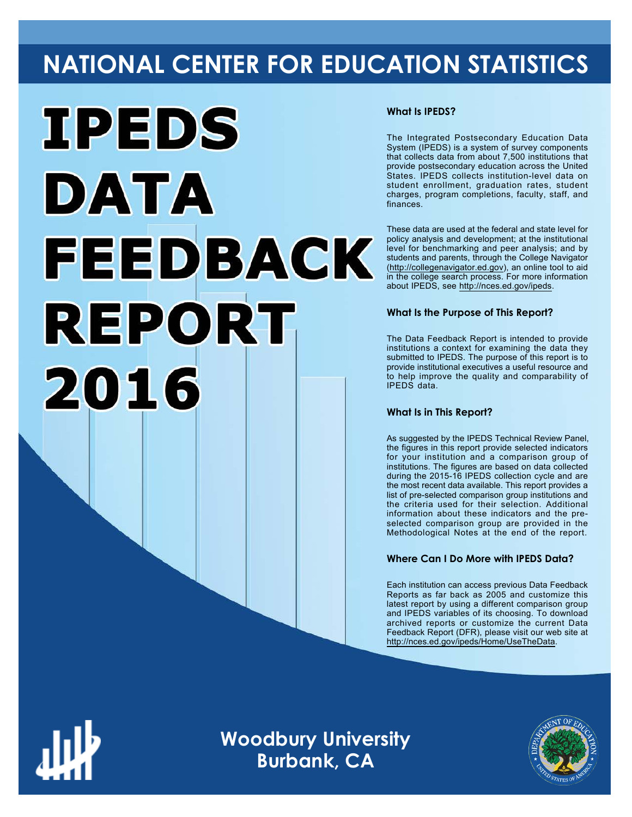# **NATIONAL CENTER FOR EDUCATION STATISTICS**



### **What Is IPEDS?**

The Integrated Postsecondary Education Data System (IPEDS) is a system of survey components that collects data from about 7,500 institutions that provide postsecondary education across the United States. IPEDS collects institution-level data on student enrollment, graduation rates, student charges, program completions, faculty, staff, and finances.

These data are used at the federal and state level for policy analysis and development; at the institutional level for benchmarking and peer analysis; and by students and parents, through the College Navigator ([http://collegenavigator.ed.gov\)](http://collegenavigator.ed.gov), an online tool to aid in the college search process. For more information about IPEDS, see [http://nces.ed.gov/ipeds.](http://nces.ed.gov/ipeds)

## **What Is the Purpose of This Report?**

The Data Feedback Report is intended to provide institutions a context for examining the data they submitted to IPEDS. The purpose of this report is to provide institutional executives a useful resource and to help improve the quality and comparability of IPEDS data.

#### **What Is in This Report?**

As suggested by the IPEDS Technical Review Panel, the figures in this report provide selected indicators for your institution and a comparison group of institutions. The figures are based on data collected during the 2015-16 IPEDS collection cycle and are the most recent data available. This report provides a list of pre-selected comparison group institutions and the criteria used for their selection. Additional information about these indicators and the preselected comparison group are provided in the Methodological Notes at the end of the report.

## **Where Can I Do More with IPEDS Data?**

Each institution can access previous Data Feedback Reports as far back as 2005 and customize this latest report by using a different comparison group and IPEDS variables of its choosing. To download archived reports or customize the current Data Feedback Report (DFR), please visit our web site at [http://nces.ed.gov/ipeds/Home/UseTheData.](http://nces.ed.gov/ipeds/Home/UseTheData)

**Woodbury University Burbank, CA**

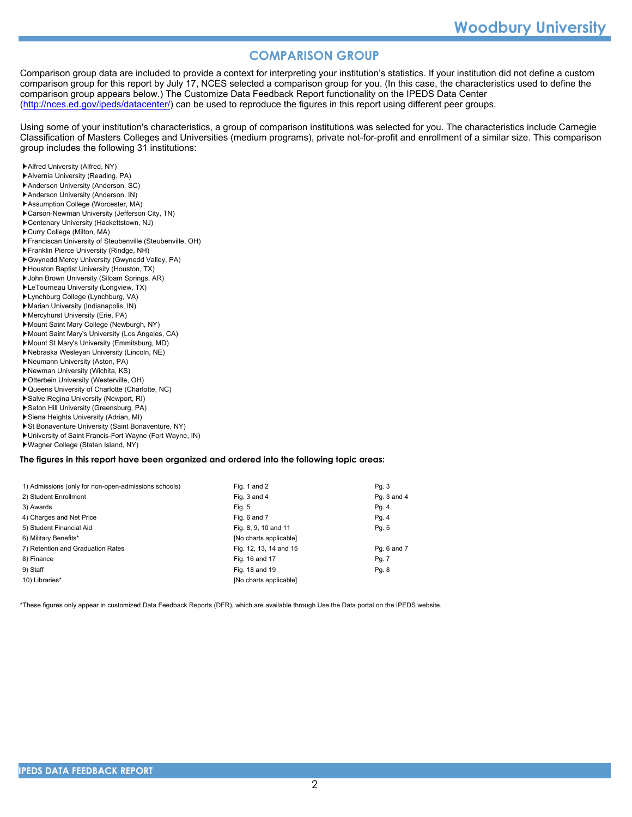# **COMPARISON GROUP**

Comparison group data are included to provide a context for interpreting your institution's statistics. If your institution did not define a custom comparison group for this report by July 17, NCES selected a comparison group for you. (In this case, the characteristics used to define the comparison group appears below.) The Customize Data Feedback Report functionality on the IPEDS Data Center [\(http://nces.ed.gov/ipeds/datacenter/\)](http://nces.ed.gov/ipeds/datacenter/) can be used to reproduce the figures in this report using different peer groups.

Using some of your institution's characteristics, a group of comparison institutions was selected for you. The characteristics include Carnegie Classification of Masters Colleges and Universities (medium programs), private not-for-profit and enrollment of a similar size. This comparison group includes the following 31 institutions:

- Alfred University (Alfred, NY)
- Alvernia University (Reading, PA)
- Anderson University (Anderson, SC)
- Anderson University (Anderson, IN)
- Assumption College (Worcester, MA)
- Carson-Newman University (Jefferson City, TN)
- Centenary University (Hackettstown, NJ)
- Curry College (Milton, MA)
- Franciscan University of Steubenville (Steubenville, OH)
- Franklin Pierce University (Rindge, NH)
- Gwynedd Mercy University (Gwynedd Valley, PA)
- Houston Baptist University (Houston, TX)
- John Brown University (Siloam Springs, AR)
- LeTourneau University (Longview, TX)
- Lynchburg College (Lynchburg, VA)
- Marian University (Indianapolis, IN)
- Mercyhurst University (Erie, PA)
- Mount Saint Mary College (Newburgh, NY)
- Mount Saint Mary's University (Los Angeles, CA)
- Mount St Mary's University (Emmitsburg, MD)
- Nebraska Wesleyan University (Lincoln, NE)
- Neumann University (Aston, PA)
- Newman University (Wichita, KS)
- Otterbein University (Westerville, OH) Queens University of Charlotte (Charlotte, NC)
- Salve Regina University (Newport, RI)
- Seton Hill University (Greensburg, PA)
- Siena Heights University (Adrian, MI)
- St Bonaventure University (Saint Bonaventure, NY)
- University of Saint Francis-Fort Wayne (Fort Wayne, IN)
- Wagner College (Staten Island, NY)

#### **The figures in this report have been organized and ordered into the following topic areas:**

| 1) Admissions (only for non-open-admissions schools) | Fig. 1 and 2           | Pg. 3       |
|------------------------------------------------------|------------------------|-------------|
| 2) Student Enrollment                                | Fig. 3 and 4           | Pg. 3 and 4 |
| 3) Awards                                            | Fig. 5                 | Pg. 4       |
| 4) Charges and Net Price                             | Fig. 6 and 7           | Pg. 4       |
| 5) Student Financial Aid                             | Fig. 8, 9, 10 and 11   | Pg. 5       |
| 6) Military Benefits*                                | [No charts applicable] |             |
| 7) Retention and Graduation Rates                    | Fig. 12, 13, 14 and 15 | Pg. 6 and 7 |
| 8) Finance                                           | Fig. 16 and 17         | Pg. 7       |
| 9) Staff                                             | Fig. 18 and 19         | Pg. 8       |
| 10) Libraries*                                       | [No charts applicable] |             |

\*These figures only appear in customized Data Feedback Reports (DFR), which are available through Use the Data portal on the IPEDS website.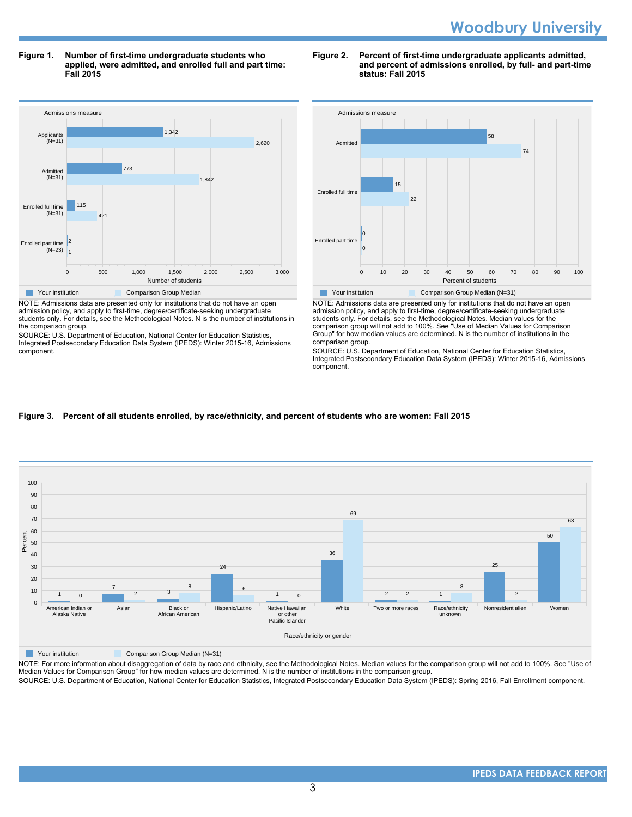**Figure 1. Number of first-time undergraduate students who applied, were admitted, and enrolled full and part time: Fall 2015**



NOTE: Admissions data are presented only for institutions that do not have an open admission policy, and apply to first-time, degree/certificate-seeking undergraduate students only. For details, see the Methodological Notes. N is the number of institutions in the comparison group.

SOURCE: U.S. Department of Education, National Center for Education Statistics, Integrated Postsecondary Education Data System (IPEDS): Winter 2015-16, Admissions component.

#### **Figure 2. Percent of first-time undergraduate applicants admitted, and percent of admissions enrolled, by full- and part-time status: Fall 2015**



NOTE: Admissions data are presented only for institutions that do not have an open admission policy, and apply to first-time, degree/certificate-seeking undergraduate students only. For details, see the Methodological Notes. Median values for the comparison group will not add to 100%. See "Use of Median Values for Comparison Group" for how median values are determined. N is the number of institutions in the comparison group.

SOURCE: U.S. Department of Education, National Center for Education Statistics, Integrated Postsecondary Education Data System (IPEDS): Winter 2015-16, Admissions component.

#### **Figure 3. Percent of all students enrolled, by race/ethnicity, and percent of students who are women: Fall 2015**



**The Comparison Group Median (N=31)** Comparison Group Median (N=31)

NOTE: For more information about disaggregation of data by race and ethnicity, see the Methodological Notes. Median values for the comparison group will not add to 100%. See "Use of Median Values for Comparison Group" for how median values are determined. N is the number of institutions in the comparison group.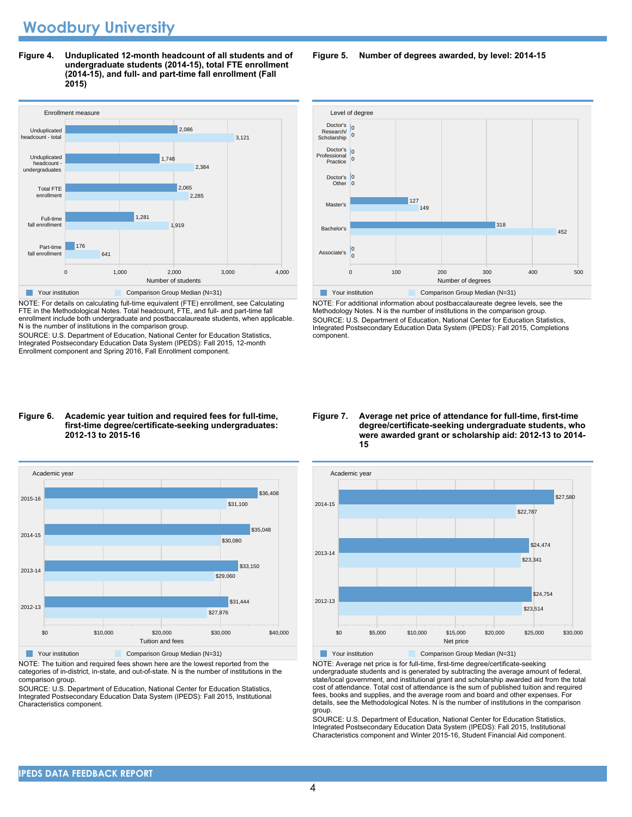**Figure 4. Unduplicated 12-month headcount of all students and of undergraduate students (2014-15), total FTE enrollment (2014-15), and full- and part-time fall enrollment (Fall 2015)**



NOTE: For details on calculating full-time equivalent (FTE) enrollment, see Calculating FTE in the Methodological Notes. Total headcount, FTE, and full- and part-time fall enrollment include both undergraduate and postbaccalaureate students, when applicable. N is the number of institutions in the comparison group.

SOURCE: U.S. Department of Education, National Center for Education Statistics, Integrated Postsecondary Education Data System (IPEDS): Fall 2015, 12-month Enrollment component and Spring 2016, Fall Enrollment component.

#### **Figure 6. Academic year tuition and required fees for full-time, first-time degree/certificate-seeking undergraduates: 2012-13 to 2015-16**



NOTE: The tuition and required fees shown here are the lowest reported from the categories of in-district, in-state, and out-of-state. N is the number of institutions in the comparison group.

SOURCE: U.S. Department of Education, National Center for Education Statistics, Integrated Postsecondary Education Data System (IPEDS): Fall 2015, Institutional Characteristics component.

#### **Figure 5. Number of degrees awarded, by level: 2014-15**



NOTE: For additional information about postbaccalaureate degree levels, see the Methodology Notes. N is the number of institutions in the comparison group. SOURCE: U.S. Department of Education, National Center for Education Statistics, Integrated Postsecondary Education Data System (IPEDS): Fall 2015, Completions component.

#### **Figure 7. Average net price of attendance for full-time, first-time degree/certificate-seeking undergraduate students, who were awarded grant or scholarship aid: 2012-13 to 2014- 15**



NOTE: Average net price is for full-time, first-time degree/certificate-seeking undergraduate students and is generated by subtracting the average amount of federal, state/local government, and institutional grant and scholarship awarded aid from the total cost of attendance. Total cost of attendance is the sum of published tuition and required fees, books and supplies, and the average room and board and other expenses. For details, see the Methodological Notes. N is the number of institutions in the comparison

group. SOURCE: U.S. Department of Education, National Center for Education Statistics, Integrated Postsecondary Education Data System (IPEDS): Fall 2015, Institutional Characteristics component and Winter 2015-16, Student Financial Aid component.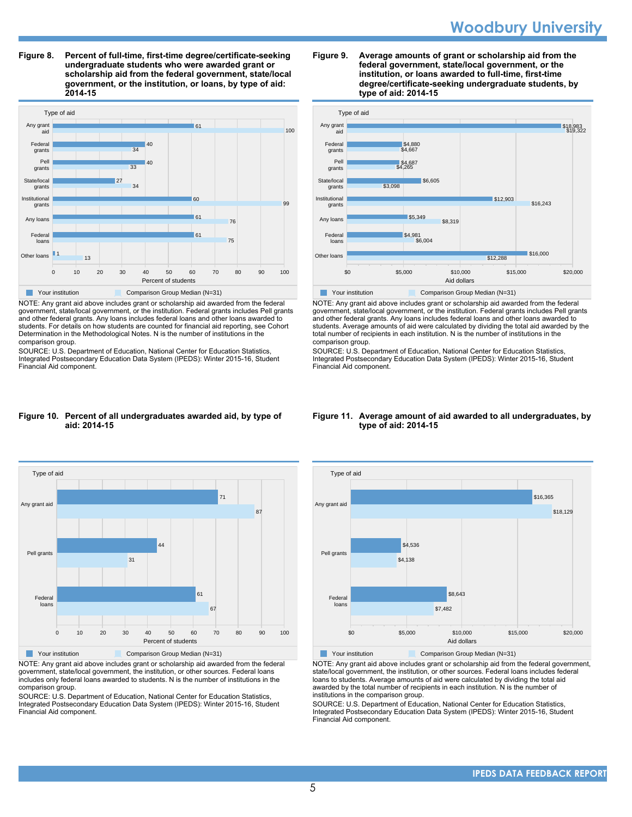# **Woodbury University**

**Figure 8. Percent of full-time, first-time degree/certificate-seeking undergraduate students who were awarded grant or scholarship aid from the federal government, state/local government, or the institution, or loans, by type of aid: 2014-15**



NOTE: Any grant aid above includes grant or scholarship aid awarded from the federal government, state/local government, or the institution. Federal grants includes Pell grants and other federal grants. Any loans includes federal loans and other loans awarded to students. For details on how students are counted for financial aid reporting, see Cohort Determination in the Methodological Notes. N is the number of institutions in the comparison group.

SOURCE: U.S. Department of Education, National Center for Education Statistics, Integrated Postsecondary Education Data System (IPEDS): Winter 2015-16, Student Financial Aid component.

#### **Figure 9. Average amounts of grant or scholarship aid from the federal government, state/local government, or the institution, or loans awarded to full-time, first-time degree/certificate-seeking undergraduate students, by type of aid: 2014-15**



NOTE: Any grant aid above includes grant or scholarship aid awarded from the federal government, state/local government, or the institution. Federal grants includes Pell grants and other federal grants. Any loans includes federal loans and other loans awarded to students. Average amounts of aid were calculated by dividing the total aid awarded by the total number of recipients in each institution. N is the number of institutions in the comparison group.

SOURCE: U.S. Department of Education, National Center for Education Statistics, Integrated Postsecondary Education Data System (IPEDS): Winter 2015-16, Student Financial Aid component.

#### **Figure 10. Percent of all undergraduates awarded aid, by type of aid: 2014-15**



NOTE: Any grant aid above includes grant or scholarship aid awarded from the federal government, state/local government, the institution, or other sources. Federal loans includes only federal loans awarded to students. N is the number of institutions in the comparison group.

SOURCE: U.S. Department of Education, National Center for Education Statistics, Integrated Postsecondary Education Data System (IPEDS): Winter 2015-16, Student Financial Aid component.

#### **Figure 11. Average amount of aid awarded to all undergraduates, by type of aid: 2014-15**



Your institution Comparison Group Median (N=31)

NOTE: Any grant aid above includes grant or scholarship aid from the federal government, state/local government, the institution, or other sources. Federal loans includes federal loans to students. Average amounts of aid were calculated by dividing the total aid awarded by the total number of recipients in each institution. N is the number of institutions in the comparison group.

SOURCE: U.S. Department of Education, National Center for Education Statistics, Integrated Postsecondary Education Data System (IPEDS): Winter 2015-16, Student Financial Aid component.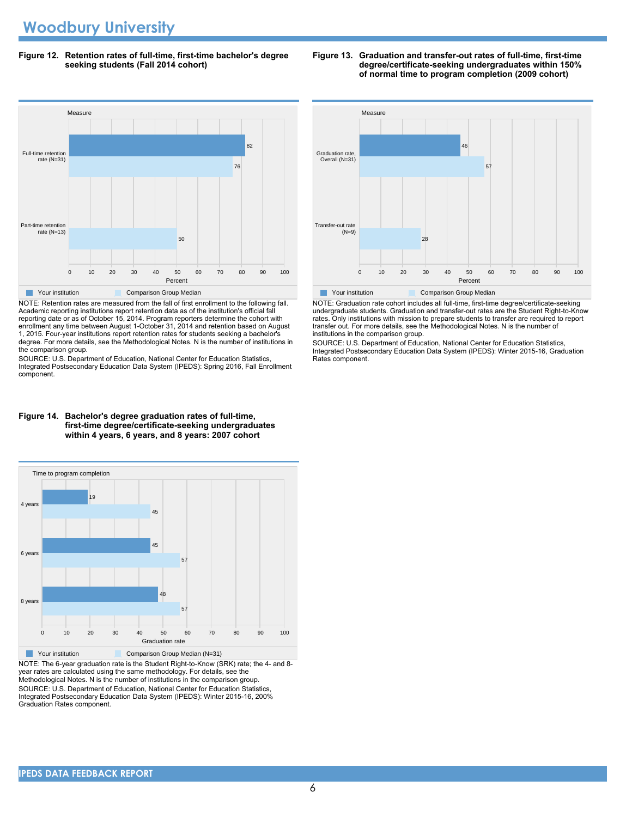**Figure 12. Retention rates of full-time, first-time bachelor's degree seeking students (Fall 2014 cohort)**



NOTE: Retention rates are measured from the fall of first enrollment to the following fall. Academic reporting institutions report retention data as of the institution's official fall reporting date or as of October 15, 2014. Program reporters determine the cohort with enrollment any time between August 1-October 31, 2014 and retention based on August 1, 2015. Four-year institutions report retention rates for students seeking a bachelor's degree. For more details, see the Methodological Notes. N is the number of institutions in the comparison group.

SOURCE: U.S. Department of Education, National Center for Education Statistics, Integrated Postsecondary Education Data System (IPEDS): Spring 2016, Fall Enrollment component.







NOTE: The 6-year graduation rate is the Student Right-to-Know (SRK) rate; the 4- and 8 year rates are calculated using the same methodology. For details, see the Methodological Notes. N is the number of institutions in the comparison group. SOURCE: U.S. Department of Education, National Center for Education Statistics, Integrated Postsecondary Education Data System (IPEDS): Winter 2015-16, 200% Graduation Rates component.





NOTE: Graduation rate cohort includes all full-time, first-time degree/certificate-seeking undergraduate students. Graduation and transfer-out rates are the Student Right-to-Know rates. Only institutions with mission to prepare students to transfer are required to report transfer out. For more details, see the Methodological Notes. N is the number of institutions in the comparison group.

SOURCE: U.S. Department of Education, National Center for Education Statistics, Integrated Postsecondary Education Data System (IPEDS): Winter 2015-16, Graduation Rates component.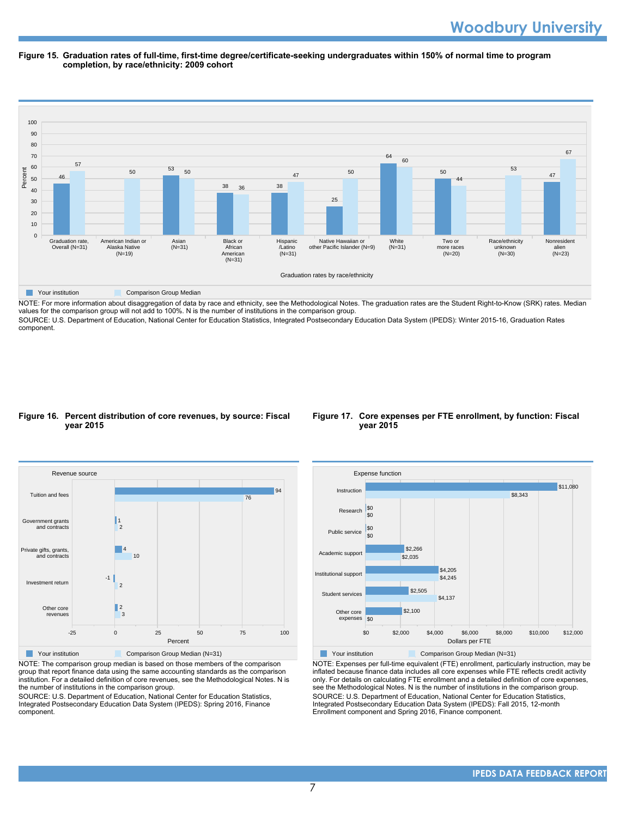#### **Figure 15. Graduation rates of full-time, first-time degree/certificate-seeking undergraduates within 150% of normal time to program completion, by race/ethnicity: 2009 cohort**



NOTE: For more information about disaggregation of data by race and ethnicity, see the Methodological Notes. The graduation rates are the Student Right-to-Know (SRK) rates. Median values for the comparison group will not add to 100%. N is the number of institutions in the comparison group.

SOURCE: U.S. Department of Education, National Center for Education Statistics, Integrated Postsecondary Education Data System (IPEDS): Winter 2015-16, Graduation Rates component.

#### **Figure 16. Percent distribution of core revenues, by source: Fiscal year 2015**





NOTE: The comparison group median is based on those members of the comparison group that report finance data using the same accounting standards as the comparison institution. For a detailed definition of core revenues, see the Methodological Notes. N is the number of institutions in the comparison group.

SOURCE: U.S. Department of Education, National Center for Education Statistics, Integrated Postsecondary Education Data System (IPEDS): Spring 2016, Finance component.



NOTE: Expenses per full-time equivalent (FTE) enrollment, particularly instruction, may be inflated because finance data includes all core expenses while FTE reflects credit activity only. For details on calculating FTE enrollment and a detailed definition of core expenses, see the Methodological Notes. N is the number of institutions in the comparison group.

SOURCE: U.S. Department of Education, National Center for Education Statistics, Integrated Postsecondary Education Data System (IPEDS): Fall 2015, 12-month Enrollment component and Spring 2016, Finance component.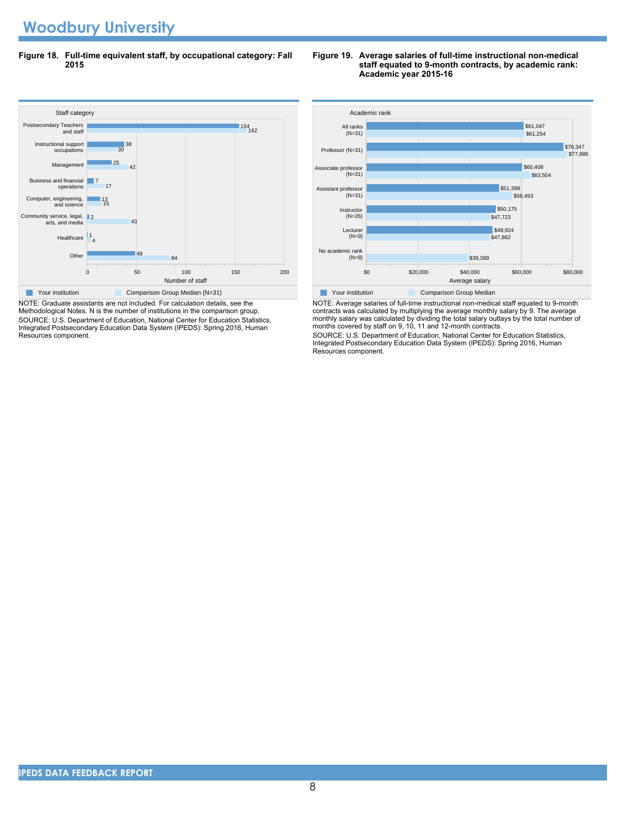# **Woodbury University**

**Figure 18. Full-time equivalent staff, by occupational category: Fall 2015**

#### Staff cate<br>Postsecondary Teachers 0 50 50 100 50 50 200 Number of staff Othe Healthcare Community service, legal, arts, and media Computer, engineering, and science Business and financial operations Management Instructional support occupations and staff 84 49 4 1 43  $\mathbb{I}2$ 15 13 17 7 42 25  $\overline{30}$ 38 162 154 Staff category **Your institution** Comparison Group Median (N=31)

NOTE: Graduate assistants are not included. For calculation details, see the Methodological Notes. N is the number of institutions in the comparison group. SOURCE: U.S. Department of Education, National Center for Education Statistics, Integrated Postsecondary Education Data System (IPEDS): Spring 2016, Human Resources component.

#### **Figure 19. Average salaries of full-time instructional non-medical staff equated to 9-month contracts, by academic rank: Academic year 2015-16**



NOTE: Average salaries of full-time instructional non-medical staff equated to 9-month contracts was calculated by multiplying the average monthly salary by 9. The average monthly salary was calculated by dividing the total salary outlays by the total number of months covered by staff on 9, 10, 11 and 12-month contracts.

SOURCE: U.S. Department of Education, National Center for Education Statistics, Integrated Postsecondary Education Data System (IPEDS): Spring 2016, Human Resources component.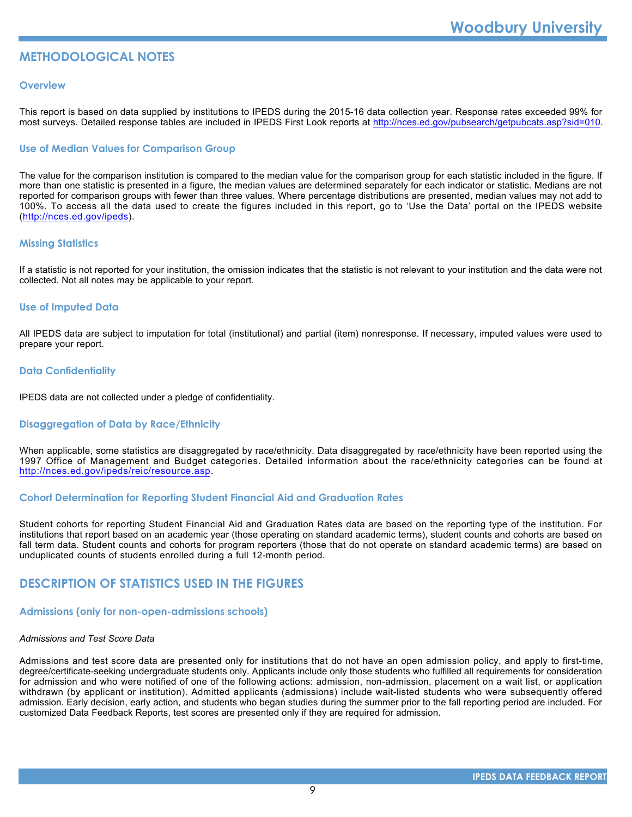# **METHODOLOGICAL NOTES**

#### **Overview**

This report is based on data supplied by institutions to IPEDS during the 2015-16 data collection year. Response rates exceeded 99% for most surveys. Detailed response tables are included in IPEDS First Look reports at [http://nces.ed.gov/pubsearch/getpubcats.asp?sid=010.](http://nces.ed.gov/pubsearch/getpubcats.asp?sid=010)

#### **Use of Median Values for Comparison Group**

The value for the comparison institution is compared to the median value for the comparison group for each statistic included in the figure. If more than one statistic is presented in a figure, the median values are determined separately for each indicator or statistic. Medians are not reported for comparison groups with fewer than three values. Where percentage distributions are presented, median values may not add to 100%. To access all the data used to create the figures included in this report, go to 'Use the Data' portal on the IPEDS website (<http://nces.ed.gov/ipeds>).

#### **Missing Statistics**

If a statistic is not reported for your institution, the omission indicates that the statistic is not relevant to your institution and the data were not collected. Not all notes may be applicable to your report.

#### **Use of Imputed Data**

All IPEDS data are subject to imputation for total (institutional) and partial (item) nonresponse. If necessary, imputed values were used to prepare your report.

#### **Data Confidentiality**

IPEDS data are not collected under a pledge of confidentiality.

#### **Disaggregation of Data by Race/Ethnicity**

When applicable, some statistics are disaggregated by race/ethnicity. Data disaggregated by race/ethnicity have been reported using the 1997 Office of Management and Budget categories. Detailed information about the race/ethnicity categories can be found at <http://nces.ed.gov/ipeds/reic/resource.asp>.

#### **Cohort Determination for Reporting Student Financial Aid and Graduation Rates**

Student cohorts for reporting Student Financial Aid and Graduation Rates data are based on the reporting type of the institution. For institutions that report based on an academic year (those operating on standard academic terms), student counts and cohorts are based on fall term data. Student counts and cohorts for program reporters (those that do not operate on standard academic terms) are based on unduplicated counts of students enrolled during a full 12-month period.

# **DESCRIPTION OF STATISTICS USED IN THE FIGURES**

#### **Admissions (only for non-open-admissions schools)**

#### *Admissions and Test Score Data*

Admissions and test score data are presented only for institutions that do not have an open admission policy, and apply to first-time, degree/certificate-seeking undergraduate students only. Applicants include only those students who fulfilled all requirements for consideration for admission and who were notified of one of the following actions: admission, non-admission, placement on a wait list, or application withdrawn (by applicant or institution). Admitted applicants (admissions) include wait-listed students who were subsequently offered admission. Early decision, early action, and students who began studies during the summer prior to the fall reporting period are included. For customized Data Feedback Reports, test scores are presented only if they are required for admission.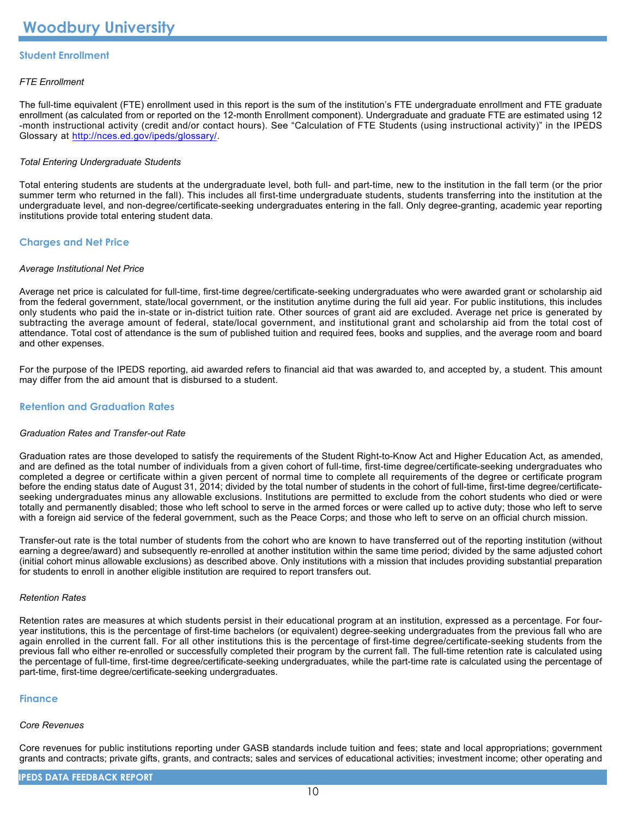## **Student Enrollment**

#### *FTE Enrollment*

The full-time equivalent (FTE) enrollment used in this report is the sum of the institution's FTE undergraduate enrollment and FTE graduate enrollment (as calculated from or reported on the 12-month Enrollment component). Undergraduate and graduate FTE are estimated using 12 -month instructional activity (credit and/or contact hours). See "Calculation of FTE Students (using instructional activity)" in the IPEDS Glossary at <http://nces.ed.gov/ipeds/glossary/>.

#### *Total Entering Undergraduate Students*

Total entering students are students at the undergraduate level, both full- and part-time, new to the institution in the fall term (or the prior summer term who returned in the fall). This includes all first-time undergraduate students, students transferring into the institution at the undergraduate level, and non-degree/certificate-seeking undergraduates entering in the fall. Only degree-granting, academic year reporting institutions provide total entering student data.

#### **Charges and Net Price**

#### *Average Institutional Net Price*

Average net price is calculated for full-time, first-time degree/certificate-seeking undergraduates who were awarded grant or scholarship aid from the federal government, state/local government, or the institution anytime during the full aid year. For public institutions, this includes only students who paid the in-state or in-district tuition rate. Other sources of grant aid are excluded. Average net price is generated by subtracting the average amount of federal, state/local government, and institutional grant and scholarship aid from the total cost of attendance. Total cost of attendance is the sum of published tuition and required fees, books and supplies, and the average room and board and other expenses.

For the purpose of the IPEDS reporting, aid awarded refers to financial aid that was awarded to, and accepted by, a student. This amount may differ from the aid amount that is disbursed to a student.

#### **Retention and Graduation Rates**

#### *Graduation Rates and Transfer-out Rate*

Graduation rates are those developed to satisfy the requirements of the Student Right-to-Know Act and Higher Education Act, as amended, and are defined as the total number of individuals from a given cohort of full-time, first-time degree/certificate-seeking undergraduates who completed a degree or certificate within a given percent of normal time to complete all requirements of the degree or certificate program before the ending status date of August 31, 2014; divided by the total number of students in the cohort of full-time, first-time degree/certificateseeking undergraduates minus any allowable exclusions. Institutions are permitted to exclude from the cohort students who died or were totally and permanently disabled; those who left school to serve in the armed forces or were called up to active duty; those who left to serve with a foreign aid service of the federal government, such as the Peace Corps; and those who left to serve on an official church mission.

Transfer-out rate is the total number of students from the cohort who are known to have transferred out of the reporting institution (without earning a degree/award) and subsequently re-enrolled at another institution within the same time period; divided by the same adjusted cohort (initial cohort minus allowable exclusions) as described above. Only institutions with a mission that includes providing substantial preparation for students to enroll in another eligible institution are required to report transfers out.

#### *Retention Rates*

Retention rates are measures at which students persist in their educational program at an institution, expressed as a percentage. For fouryear institutions, this is the percentage of first-time bachelors (or equivalent) degree-seeking undergraduates from the previous fall who are again enrolled in the current fall. For all other institutions this is the percentage of first-time degree/certificate-seeking students from the previous fall who either re-enrolled or successfully completed their program by the current fall. The full-time retention rate is calculated using the percentage of full-time, first-time degree/certificate-seeking undergraduates, while the part-time rate is calculated using the percentage of part-time, first-time degree/certificate-seeking undergraduates.

#### **Finance**

#### *Core Revenues*

Core revenues for public institutions reporting under GASB standards include tuition and fees; state and local appropriations; government grants and contracts; private gifts, grants, and contracts; sales and services of educational activities; investment income; other operating and